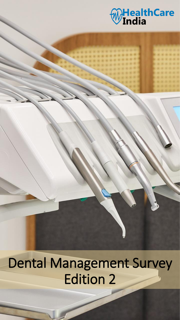

64

Dental Management Survey Edition 2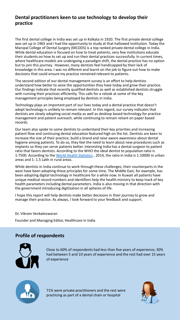### **Dental practitioners keen to use technology to develop their practice**

The first dental college in India was set up in Kolkata in 1920. The first private dental college was set up in 1965 and I had the opportunity to study at that hallowed institution. Today the Manipal College of Dental Surgery (MCODS) is a top ranked private dental college in India. While dental education is focused on how to treat patients, very few institutions educate their students on how to set up and run their dental practices successfully. In current times, where healthcare models are undergoing a paradigm shift, the dental practice has no option but to join this journey. However, many dentists feel handicapped by their lack of knowledge in this area. I was no different and learnt on the job to figure out how to make decisions that could ensure my practice remained relevant to patients.

The second edition of our dental management survey is an effort to help dentists understand how better to seize the opportunities they have today and grow their practice. Our findings indicate that recently qualified dentists as well as established dentists struggle with running their practices efficiently. This calls for a relook at some of the key management principles being employed by dentists in India.

Technology plays an important part of our lives today and a dental practice that doesn't adopt technology is unlikely to remain relevant. In this regard, our survey indicates that dentists are slowly adopting social media as well as desktop based technology for practice management and patient outreach, while continuing to remain reliant on paper based records.

Our team also spoke to some dentists to understand their key priorities and increasing patient flow and continuing dental education featured high on the list. Dentists are keen to increase the size of their practice, build a brand and raise aware awareness about dental hygiene among patients. To do so, they feel the need to learn about new procedures such as implants so they can serve patients better. Interesting India has a dental surgeon to patient ratio that favors dentists. According to the WHO the ideal dentist to population ratio is 1:7500. According to the [World Health Statistics](https://www.ncbi.nlm.nih.gov/pmc/articles/PMC4856508/), 2014, the ratio in India is 1:10000 in urban areas and 1: 1.5 Lakh in rural areas.

While dentists in India continue to work through these challenges, their counterparts in the west have been adopting these principles for some time. The Middle East, for example, has been adopting digital technology in healthcare for a while now. In Kuwait all patients have unique medical record numbers and identifiers help the health ministry to keep track of key health parameters including dental parameters. India is also moving in that direction with the government introducing digitization in all spheres of life.

I hope this report will help dentists make better decisions in their journey to grow and manage their practice. As always, I look forward to your feedback and support.

Dr. Vikram Venkateswaran

Founder and Managing Editor, Healthcare in India

## **Profile of respondents**



Close to 60% of respondents had less than five years of experience; 30% had between 5 and 10 years of experience and the rest had over 15 years of experience



71% were private practitioners and the rest were practicing as part of a dental chain or hospital

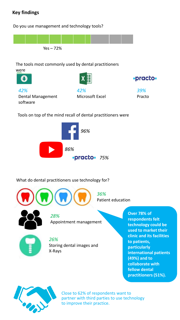# **Key findings**

Do you use management and technology tools?



### The tools most commonly used by dental practitioners were





*42%*  Dental Management software





Tools on top of the mind recall of dental practitioners were



## What do dental practitioners use technology for?





*28%*  Appointment management



*26%* Storing dental images and X-Rays

**Over 78% of respondents felt technology could be used to market their clinic and its facilities to patients, particularly international patients (49%) and to collaborate with fellow dental practitioners (51%).**



Close to 62% of respondents want to partner with third parties to use technology to improve their practice.

*36%* 

Patient education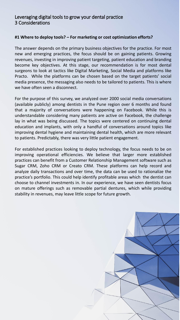### Leveraging digital tools to grow your dental practice 3 Considerations

### **#1 Where to deploy tools? – For marketing or cost optimization efforts?**

The answer depends on the primary business objectives for the practice. For most new and emerging practices, the focus should be on gaining patients. Growing revenues, investing in improving patient targeting, patient education and branding become key objectives. At this stage, our recommendation is for most dental surgeons to look at tactics like Digital Marketing, Social Media and platforms like Practo. While the platforms can be chosen based on the target patients' social media presence, the messaging also needs to be tailored to patients. This is where we have often seen a disconnect.

For the purpose of this survey, we analyzed over 2000 social media conversations (available publicly) among dentists in the Pune region over 6 months and found that a majority of conversations were happening on Facebook. While this is understandable considering many patients are active on Facebook, the challenge lay in what was being discussed. The topics were centered on continuing dental education and implants, with only a handful of conversations around topics like improving dental hygiene and maintaining dental health, which are more relevant to patients. Predictably, there was very little patient engagement.

For established practices looking to deploy technology, the focus needs to be on improving operational efficiencies. We believe that larger more established practices can benefit from a Customer Relationship Management software such as Sugar CRM, Zoho CRM or Creato CRM. These platforms can help record and analyze daily transactions and over time, the data can be used to rationalize the practice's portfolio. This could help identify profitable areas which the dentist can choose to channel investments in. In our experience, we have seen dentists focus on mature offerings such as removable partial dentures, which while providing stability in revenues, may leave little scope for future growth.

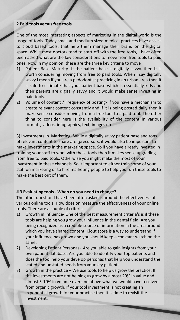#### **2 Paid tools versus free tools**

One of the most interesting aspects of marketing in the digital world is the usage of tools. Today small and medium sized medical practices have access to cloud based tools, that help them manage their brand on the digital space. While most doctors tend to start off with the free tools, I have often been asked what are the key considerations to move from free tools to paid ones. Now in my opinion, these are the three key criteria to move

- 1) Patient Base Maturity- If the patient base is digitally savvy, then it is worth considering moving from free to paid tools. When I say digitally savvy I mean if you are a pedodontist practicing in an urban area then it is safe to estimate that your patient base which is essentially kids and their parents are digitally savvy and it would make sense investing in paid tools.
- 2) Volume of content / Frequency of posting- If you have a mechanism to create relevant content constantly and if it is being posted daily then it make sense consider moving from a free tool to a paid tool. The other thing to consider here is the availability of the content in various formats, videos, infographics, text, images etc

3) Investments in Marketing- While a digitally savvy patient base and tons of relevant content to share are [precursors, it would also be important to make investments in the marketing space. So if you have already invested in training your staff to work with these tools then it makes sense upgrading from free to paid tools. Otherwise you might make the most of your investment in these channels. So it important to either train some of your staff on marketing or to hire marketing people to help you run these tools to make the best out of them.

#### **# 3 Evaluating tools - When do you need to change?**

The other question I have been often asked is around the effectiveness of various online tools. How does on measure the effectiveness of your online tools. There are a couple of criteria

- 1) Growth in Influence- One of the best measurement criteria's is if these tools are helping you grow your influence in the dental field. Are you being recognized as a credible source of information in the area around which you have shared content. Klout score is a way to understand if your influence has grown and you should keep a constant watch on the same.
- 2) Developing Patient Personas- Are you able to gain insights from your own patient database. Are you able to identify your top patients and does the tool help your develop personas that help you understand the stated and unstated needs from your key patients.
- 3) Growth in the practice We use tools to help us grow the practice. If the investments are not helping us grow by almost 20% in value and almost 5-10% in volume over and above what we would have received from organic growth. If your tool investment is not creating an exponential growth for your practice then it is time to revisit the investment.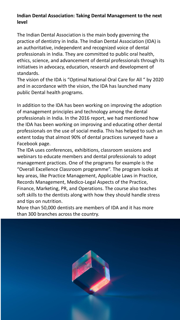# **Indian Dental Association: Taking Dental Management to the next level**

The Indian Dental Association is the main body governing the practice of dentistry in India. The Indian Dental Association (IDA) is an authoritative, independent and recognized voice of dental professionals in India. They are committed to public oral health, ethics, science, and advancement of dental professionals through its initiatives in advocacy, education, research and development of standards.

The vision of the IDA is "Optimal National Oral Care for All " by 2020 and in accordance with the vision, the IDA has launched many public Dental health programs.

In addition to the IDA has been working on improving the adoption of management principles and technology among the dental professionals in India. In the 2016 report, we had mentioned how the IDA has been working on improving and educating other dental professionals on the use of social media. This has helped to such an extent today that almost 90% of dental practices surveyed have a Facebook page.

The IDA uses conferences, exhibitions, classroom sessions and webinars to educate members and dental professionals to adopt management practices. One of the programs for example is the "Overall Excellence Classroom programme". The program looks at key areas, like Practice Management, Applicable Laws in Practice, Records Management, Medico-Legal Aspects of the Practice, Finance, Marketing, PR, and Operations. The course also teaches soft skills to the dentists along with how they should handle stress and tips on nutrition.

More than 50,000 dentists are members of IDA and it has more than 300 branches across the country.